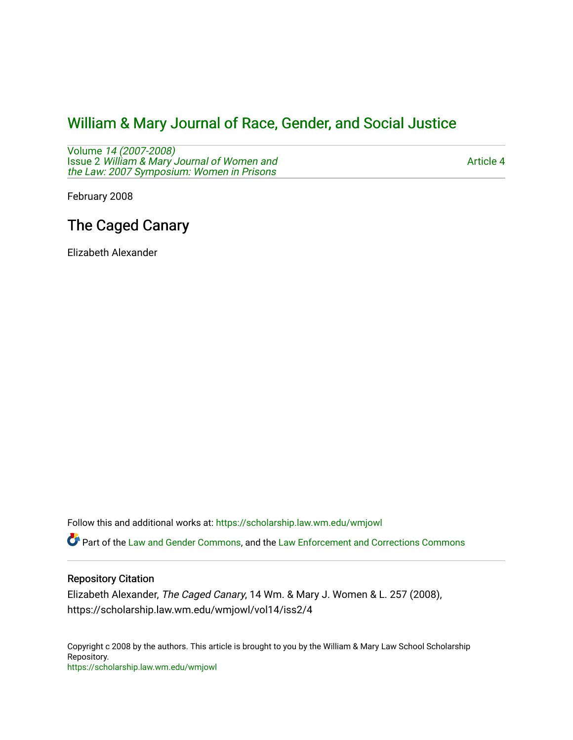# [William & Mary Journal of Race, Gender, and Social Justice](https://scholarship.law.wm.edu/wmjowl)

Volume [14 \(2007-2008\)](https://scholarship.law.wm.edu/wmjowl/vol14)  Issue 2 [William & Mary Journal of Women and](https://scholarship.law.wm.edu/wmjowl/vol14/iss2) [the Law: 2007 Symposium: Women in Prisons](https://scholarship.law.wm.edu/wmjowl/vol14/iss2) 

[Article 4](https://scholarship.law.wm.edu/wmjowl/vol14/iss2/4) 

February 2008

# The Caged Canary

Elizabeth Alexander

Follow this and additional works at: [https://scholarship.law.wm.edu/wmjowl](https://scholarship.law.wm.edu/wmjowl?utm_source=scholarship.law.wm.edu%2Fwmjowl%2Fvol14%2Fiss2%2F4&utm_medium=PDF&utm_campaign=PDFCoverPages) 

Part of the [Law and Gender Commons,](http://network.bepress.com/hgg/discipline/1298?utm_source=scholarship.law.wm.edu%2Fwmjowl%2Fvol14%2Fiss2%2F4&utm_medium=PDF&utm_campaign=PDFCoverPages) and the [Law Enforcement and Corrections Commons](http://network.bepress.com/hgg/discipline/854?utm_source=scholarship.law.wm.edu%2Fwmjowl%2Fvol14%2Fiss2%2F4&utm_medium=PDF&utm_campaign=PDFCoverPages)

# Repository Citation

Elizabeth Alexander, The Caged Canary, 14 Wm. & Mary J. Women & L. 257 (2008), https://scholarship.law.wm.edu/wmjowl/vol14/iss2/4

Copyright c 2008 by the authors. This article is brought to you by the William & Mary Law School Scholarship Repository. <https://scholarship.law.wm.edu/wmjowl>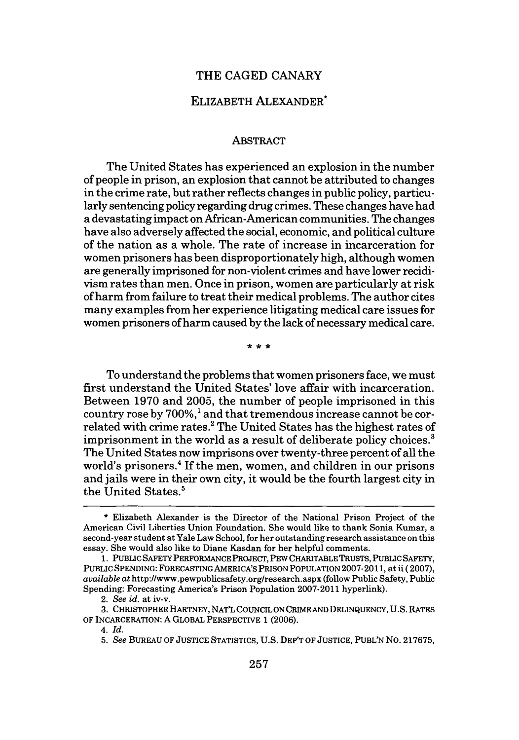## THE CAGED CANARY

# ELIZABETH ALEXANDER\*

#### ABSTRACT

The United States has experienced an explosion in the number of people in prison, an explosion that cannot be attributed to changes in the crime rate, but rather reflects changes in public policy, particularly sentencing policy regarding drug crimes. These changes have had a devastating impact on African-American communities. The changes have also adversely affected the social, economic, and political culture of the nation as a whole. The rate of increase in incarceration for women prisoners has been disproportionately high, although women are generally imprisoned for non-violent crimes and have lower recidivism rates than men. Once in prison, women are particularly at risk of harm from failure to treat their medical problems. The author cites many examples from her experience litigating medical care issues for women prisoners of harm caused by the lack of necessary medical care.

To understand the problems that women prisoners face, we must first understand the United States' love affair with incarceration. Between 1970 and 2005, the number of people imprisoned in this country rose by  $700\%$ , and that tremendous increase cannot be correlated with crime rates.<sup>2</sup> The United States has the highest rates of imprisonment in the world as a result of deliberate policy choices.<sup>3</sup> The United States now imprisons over twenty-three percent of all the world's prisoners.<sup>4</sup> If the men, women, and children in our prisons and jails were in their own city, it would be the fourth largest city in the United States.<sup>5</sup>

<sup>\*</sup> Elizabeth Alexander is the Director of the National Prison Project of the American Civil Liberties Union Foundation. She would like to thank Sonia Kumar, a second-year student at Yale Law School, for her outstanding research assistance on this essay. She would also like to Diane Kasdan for her helpful comments.

**<sup>1.</sup> PUBLIC** SAFETY PERFORMANCE PROJECT, PEW CHARITABLE TRUSTS, PUBLIC SAFETY, PUBLIC SPENDING: FORECASTING AMERICA'S PRISON POPULATION 2007-2011, at ii (2007), *available at* http://www.pewpublicsafety.org/research.aspx (follow Public Safety, Public Spending: Forecasting America's Prison Population 2007-2011 hyperlink).

<sup>2.</sup> *See id.* at iv-v.

<sup>3.</sup> CHRISTOPHER HARTNEY, NAT'L COUNCIL ON CRIMEAND DELINQUENCY, U.S. RATES OF INCARCERATION: A GLOBAL PERSPECTIVE 1 (2006).

*<sup>4.</sup>* Id.

<sup>5.</sup> *See* BUREAU OF JUSTICE STATISTICS, U.S. DEP'T OF JUSTICE, PUBL'N NO. 217675,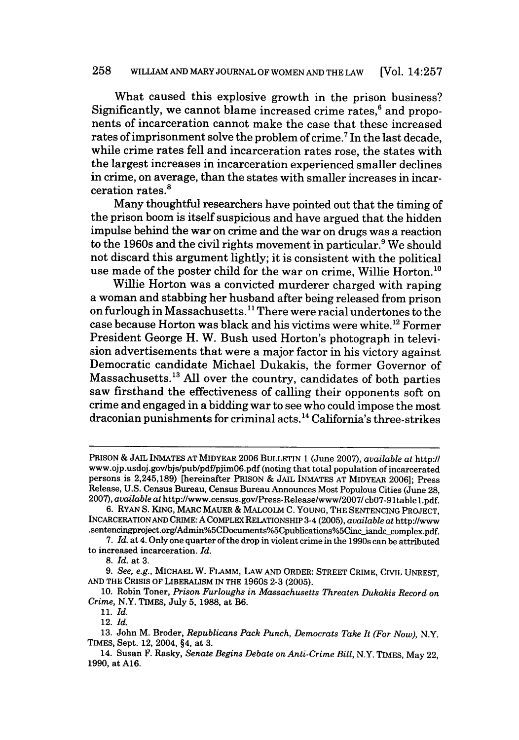## 258 WILLIAM AND MARY JOURNAL OF WOMEN **AND** THE LAW [Vol. 14:257

What caused this explosive growth in the prison business? Significantly, we cannot blame increased crime rates, $6$  and proponents of incarceration cannot make the case that these increased rates of imprisonment solve the problem of crime.<sup>7</sup> In the last decade, while crime rates fell and incarceration rates rose, the states with the largest increases in incarceration experienced smaller declines in crime, on average, than the states with smaller increases in incarceration rates.<sup>8</sup>

Many thoughtful researchers have pointed out that the timing of the prison boom is itself suspicious and have argued that the hidden impulse behind the war on crime and the war on drugs was a reaction to the 1960s and the civil rights movement in particular.<sup>9</sup> We should not discard this argument lightly; it is consistent with the political use made of the poster child for the war on crime, Willie Horton.<sup>10</sup>

Willie Horton was a convicted murderer charged with raping a woman and stabbing her husband after being released from prison on furlough in Massachusetts."1 There were racial undertones to the case because Horton was black and his victims were white.<sup>12</sup> Former President George H. W. Bush used Horton's photograph in television advertisements that were a major factor in his victory against Democratic candidate Michael Dukakis, the former Governor of Massachusetts.<sup>13</sup> All over the country, candidates of both parties saw firsthand the effectiveness of calling their opponents soft on crime and engaged in a bidding war to see who could impose the most draconian punishments for criminal acts. 4 California's three-strikes

7. *Id.* at 4. Only one quarter of the drop in violent crime in the 1990s can be attributed to increased incarceration. *Id.*

PRISON & JAIL INMATES AT MIDYEAR 2006 BULLETIN 1 (June 2007), *available at http://* www.ojp.usdoj.gov/bjs/pub/pdf/pjim06.pdf (noting that total population of incarcerated persons is 2,245,189) [hereinafter PRISON **&** JAIL INMATES AT MIDYEAR 2006]; Press Release, U.S. Census Bureau, Census Bureau Announces Most Populous Cities (June 28, 2007), *available at http://www.census.gov/Press-Release/www/2007/* cb07-91tablel.pdf.

**<sup>6.</sup>** RYAN **S.** KING, MARC MAUER & MALCOLM **C.** YOUNG, THE SENTENCING PROJECT, INCARCERATIONAND CRIME: A COMPLEX RELATIONSHIP 3-4 (2005), *available at* http://www .sentencingproject.org/Admin%5CDocuments%5Cpublications%5Cinc\_iandc\_complex.pdf.

*<sup>8.</sup> Id.* at 3.

*<sup>9.</sup> See, e.g.,* MICHAEL W. FLAMM, LAW AND ORDER: STREET CRIME, CIVIL UNREST, AND THE CRISIS OF LIBERALISM IN THE 1960S 2-3 (2005).

<sup>10.</sup> Robin Toner, *Prison Furloughs in Massachusetts Threaten Dukakis Record on Crime,* N.Y. TIMES, July 5, 1988, at B6.

<sup>11.</sup> *Id.*

<sup>12.</sup> *Id.*

<sup>13.</sup> John M. Broder, *Republicans Pack Punch, Democrats Take It (For Now),* N.Y. TIMES, Sept. 12, 2004, §4, at 3.

<sup>14.</sup> Susan F. Rasky, *Senate Begins Debate on Anti-Crime Bill,* N.Y. TIMES, May 22, 1990, at A16.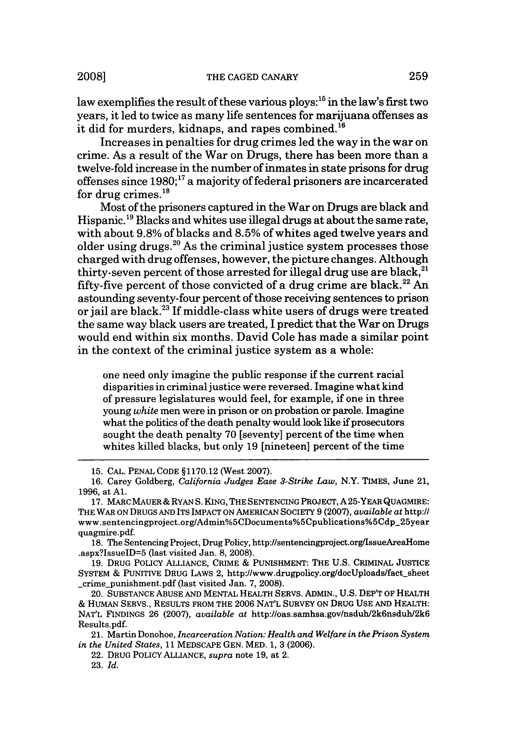law exemplifies the result of these various ploys: $^{15}$  in the law's first two years, it led to twice as many life sentences for marijuana offenses as it did for murders, kidnaps, and rapes combined.<sup>16</sup>

Increases in penalties for drug crimes led the way in the war on crime. As a result of the War on Drugs, there has been more than a twelve-fold increase in the number of inmates in state prisons for drug offenses since  $1980$ ;<sup>17</sup> a majority of federal prisoners are incarcerated for drug crimes. $^{18}$ 

Most of the prisoners captured in the War on Drugs are black and Hispanic.<sup>19</sup> Blacks and whites use illegal drugs at about the same rate, with about 9.8% of blacks and 8.5% of whites aged twelve years and older using drugs. $^{20}$  As the criminal justice system processes those charged with drug offenses, however, the picture changes. Although thirty-seven percent of those arrested for illegal drug use are black, $21$ fifty-five percent of those convicted of a drug crime are black.<sup>22</sup> An astounding seventy-four percent of those receiving sentences to prison or jail are black.<sup>23</sup> If middle-class white users of drugs were treated the same way black users are treated, I predict that the War on Drugs would end within six months. David Cole has made a similar point in the context of the criminal justice system as a whole:

one need only imagine the public response if the current racial disparities in criminal justice were reversed. Imagine what kind of pressure legislatures would feel, for example, if one in three young *white* men were in prison or on probation or parole. Imagine what the politics of the death penalty would look like if prosecutors sought the death penalty 70 [seventy] percent of the time when whites killed blacks, but only 19 [nineteen] percent of the time

18. The Sentencing Project, Drug Policy, http://sentencingproject.org/IssueAreaHome .aspx?IssuelD=5 (last visited Jan. 8, 2008).

19. DRUG POLICY ALLIANCE, CRIME & PUNISHMENT: THE U.S. CRIMINAL JUSTICE SYSTEM & PUNITIVE DRUG LAWS 2, http://www.drugpolicy.org/docUploads/fact\_sheet \_crime.punishment.pdf (last visited Jan. 7, 2008).

20. SUBSTANCE ABUSE AND MENTAL HEALTH SERVS. ADMIN., U.S. DEP'T OF HEALTH & HUMAN SERVS., RESULTS FROM THE 2006 NAT'L SURVEY ON DRUG USE AND HEALTH: NATL FINDINGS **26** (2007), *available at* http://oas.samhsa.gov/nsduh/2k6nsduh/2k6 Results.pdf.

**21.** Martin Donohoe, *Incarceration Nation: Health and Welfare in the Prison System in the United States,* 11 MEDSCAPE GEN. MED. 1, **3** (2006).

22. DRUG POLICY ALLIANCE, *supra* note **19,** at 2.

**23.** *Id.*

<sup>15.</sup> CAL. PENAL CODE §1170.12 (West 2007).

<sup>16.</sup> Carey Goldberg, *California Judges Ease 3-Strike Law,* N.Y. TIMES, June 21, 1996, at **Al.**

<sup>17.</sup> MARC MAUER & RYAN S. KING, THE SENTENCING PROJECT, A 25-YEAR QUAGMIRE: THE WAR ON DRUGS AND ITS IMPACT ON AMERICAN SOCIETY 9 (2007), *available at* http:// www.sentencingproject.org/Admin%5CDocuments%5Cpublications%5Cdp-25year quagmire.pdf.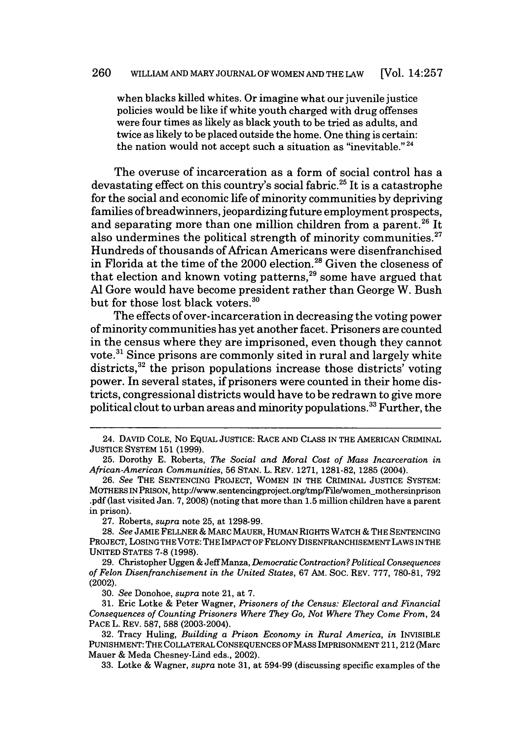when blacks killed whites. Or imagine what our juvenile justice policies would be like if white youth charged with drug offenses were four times as likely as black youth to be tried as adults, and twice as likely to be placed outside the home. One thing is certain: the nation would not accept such a situation as "inevitable."  $24$ 

The overuse of incarceration as a form of social control has a devastating effect on this country's social fabric.<sup>25</sup> It is a catastrophe for the social and economic life of minority communities by depriving families of breadwinners, jeopardizing future employment prospects, and separating more than one million children from a parent.<sup>26</sup> It also undermines the political strength of minority communities. $27$ Hundreds of thousands of African Americans were disenfranchised in Florida at the time of the 2000 election.<sup>28</sup> Given the closeness of that election and known voting patterns,<sup>29</sup> some have argued that **Al** Gore would have become president rather than George W. Bush but for those lost black voters.<sup>30</sup>

The effects of over-incarceration in decreasing the voting power of minority communities has yet another facet. Prisoners are counted in the census where they are imprisoned, even though they cannot vote.31 Since prisons are commonly sited in rural and largely white districts,<sup>32</sup> the prison populations increase those districts' voting power. In several states, if prisoners were counted in their home districts, congressional districts would have to be redrawn to give more political clout to urban areas and minority populations.<sup>33</sup> Further, the

27. Roberts, *supra* note 25, at 1298-99.

28. *See* JAMIE FELLNER & MARC MAUER, HUMAN RIGHTS WATCH **&** THE SENTENCING PROJECT, LOSING THE VOTE: THE IMPACT OF FELONY DISENFRANCHISEMENT LAWS IN THE UNITED STATES **7-8** (1998).

29. Christopher Uggen **&** JeffManza, *Democratic Contraction? Political Consequences of Felon Disenfranchisement in the United States,* 67 AM. SOC. REV. 777, 780-81, 792 (2002).

30. *See* Donohoe, *supra* note 21, at 7.

31. Eric Lotke & Peter Wagner, *Prisoners of the Census: Electoral and Financial Consequences of Counting Prisoners Where They Go, Not Where They Come From,* 24 PACE L. REV. 587, 588 (2003-2004).

32. Tracy Huling, *Building a Prison Economy in Rural America, in* INVISIBLE PUNISHMENT: THE COLLATERAL CONSEQUENCES OF MASS IMPRISONMENT 211, 212 (Marc Mauer & Meda Chesney-Lind eds., 2002).

33. Lotke & Wagner, *supra* note 31, at 594-99 (discussing specific examples of the

<sup>24.</sup> DAVID COLE, No EQUAL JUSTICE: RACE AND CLASS **IN** THE AMERICAN CRIMINAL **JUSTICE** SYSTEM 151 (1999).

<sup>25.</sup> Dorothy E. Roberts, *The Social and Moral Cost of Mass Incarceration in African-American Communities,* 56 STAN. L. REV. 1271, 1281-82, 1285 (2004).

<sup>26.</sup> *See* THE SENTENCING PROJECT, WOMEN IN THE CRIMINAL JUSTICE SYSTEM: MOTHERS IN PRISON, http://www.sentencingproject.orgttmp/File/women-mothersinprison .pdf (last visited Jan. 7, 2008) (noting that more than 1.5 million children have a parent in prison).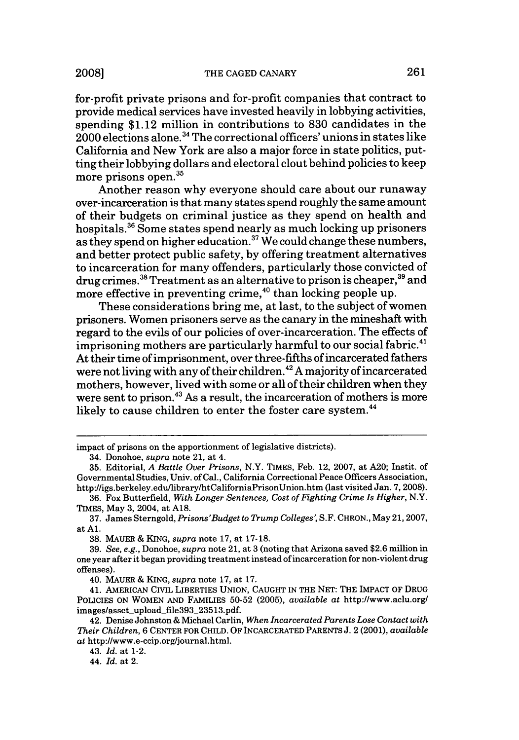for-profit private prisons and for-profit companies that contract to provide medical services have invested heavily in lobbying activities, spending \$1.12 million in contributions to 830 candidates in the 2000 elections alone.34 The correctional officers' unions in states like California and New York are also a major force in state politics, putting their lobbying dollars and electoral clout behind policies to keep more prisons open.35

Another reason why everyone should care about our runaway over-incarceration is that many states spend roughly the same amount of their budgets on criminal justice as they spend on health and hospitals.<sup>36</sup> Some states spend nearly as much locking up prisoners as they spend on higher education. $\mathrm{^{37}We}$  could change these numbers, and better protect public safety, by offering treatment alternatives to incarceration for many offenders, particularly those convicted of drug crimes.<sup>38</sup> Treatment as an alternative to prison is cheaper,<sup>39</sup> and more effective in preventing crime, $40$  than locking people up.

These considerations bring me, at last, to the subject of women prisoners. Women prisoners serve as the canary in the mineshaft with regard to the evils of our policies of over-incarceration. The effects of imprisoning mothers are particularly harmful to our social fabric.<sup>41</sup> At their time of imprisonment, over three-fifths of incarcerated fathers were not living with any of their children.<sup>42</sup> A majority of incarcerated mothers, however, lived with some or all of their children when they were sent to prison.<sup>43</sup> As a result, the incarceration of mothers is more likely to cause children to enter the foster care system.<sup>44</sup>

impact of prisons on the apportionment of legislative districts).

<sup>34.</sup> Donohoe, *supra* note 21, at 4.

<sup>35.</sup> Editorial, *A Battle Over Prisons,* N.Y. TIMES, Feb. 12, 2007, at A20; Instit. of Governmental Studies, Univ. of Cal., California Correctional Peace Officers Association, http://igs.berkeley.edu/library/htCaliforniaPrisonUnion.htm (last visited Jan. 7, 2008).

<sup>36.</sup> Fox Butterfield, *With Longer Sentences, Cost of Fighting Crime Is Higher,* N.Y. TIMES, May 3, 2004, at A18.

<sup>37.</sup> James Sterngold, *Prisons'Budget to Trump Colleges,* S.F. CHRON., May 21, 2007, at **Al.**

<sup>38.</sup> MAUER & KING, *supra* note 17, at 17-18.

<sup>39.</sup> *See, e.g.,* Donohoe, *supra* note 21, at 3 (noting that Arizona saved \$2.6 million in one year after it began providing treatment instead of incarceration for non-violent drug offenses).

<sup>40.</sup> MAUER & KING, *supra* note 17, at 17.

<sup>41.</sup> AMERICAN CIVIL LIBERTIES UNION, CAUGHT IN THE NET: THE IMPACT OF DRUG POLICIES ON WOMEN AND FAMILIES 50-52 (2005), *available at* http://www.aclu.org/ images/asset\_upload\_file393\_23513.pdf.

<sup>42.</sup> Denise Johnston & Michael Carlin, *When Incarcerated Parents Lose Contact with Their Children,* 6 CENTER FOR CHILD. OF INCARCERATED PARENTS J. 2 (2001), *available at* http://www.e-ccip.org/journal.html.

<sup>43.</sup> *Id.* at 1-2.

<sup>44.</sup> *Id.* at 2.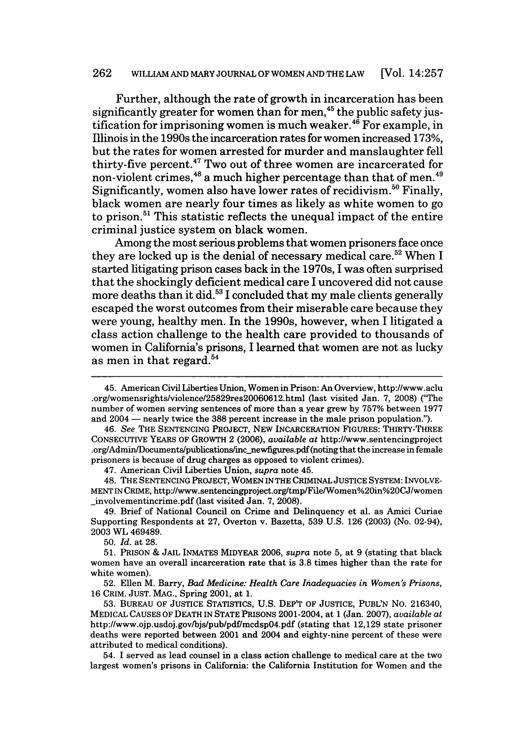#### **262 WILLIAM AND MARY JOURNAL OF WOMEN AND THE LAW** [Vol. 14:257

Further, although the rate of growth in incarceration has been significantly greater for women than for **men,<sup>45</sup>**the public safety justification for imprisoning women is much weaker. 46 For example, in Illinois in the 1990s the incarceration rates for women increased **173%,** but the rates for women arrested for murder and manslaughter fell thirty-five percent. 47 Two out of three women are incarcerated for non-violent crimes,<sup>48</sup> a much higher percentage than that of men.<sup>49</sup> Significantly, women also have lower rates of recidivism.<sup>50</sup> Finally, black women are nearly four times as likely as white women to go to prison.<sup>51</sup> This statistic reflects the unequal impact of the entire criminal justice system on black women.

Among the most serious problems that women prisoners face once they are locked up is the denial of necessary medical care.<sup>52</sup> When I started litigating prison cases back in the 1970s, I was often surprised that the shockingly deficient medical care I uncovered did not cause more deaths than it did.<sup>53</sup> I concluded that my male clients generally escaped the worst outcomes from their miserable care because they were young, healthy men. In the 1990s, however, when **I** litigated a class action challenge to the health care provided to thousands of women in California's prisons, I learned that women are not as lucky as men in that regard. $54$ 

47. American Civil Liberties Union, *supra* note 45.

48. THE SENTENCING PROJECT, WOMEN IN THE CRIMINAL JUSTICE SYSTEM: INVOLVE-MENT IN CRIME, http://www.sentencingproject.org/tmp/File/Women%20in%20CJ/women \_involvementincrime.pdf (last visited Jan. 7, 2008).

49. Brief of National Council on Crime and Delinquency et al. as Amici Curiae Supporting Respondents at 27, Overton v. Bazetta, 539 U.S. 126 (2003) (No. 02-94), 2003 WL 469489.

50. *Id.* at 28.

51. PRISON & JAIL INMATES MIDYEAR 2006, *supra* note 5, at 9 (stating that black women have an overall incarceration rate that is 3.8 times higher than the rate for white women).

52. Ellen M. Barry, *Bad Medicine: Health Care Inadequacies in Women's Prisons,* 16 CRIM. JUST. MAG., Spring 2001, at 1.

53. BUREAU OF JUSTICE STATISTICS, U.S. DEP'T OF JUSTICE, PUBL'N No. 216340, MEDICAL CAUSES OF DEATH IN STATE PRISONS 2001-2004, at 1 (Jan. 2007), *available at* http://www.ojp.usdoj.gov/bjs/pub/pdf/mcdsp04.pdf (stating that 12,129 state prisoner deaths were reported between 2001 and 2004 and eighty-nine percent of these were attributed to medical conditions).

54. I served as lead counsel in a class action challenge to medical care at the two largest women's prisons in California: the California Institution for Women and the

<sup>45.</sup> American Civil Liberties Union, Women in Prison: An Overview, http://www.aclu .org/womensrights/violence/25829res20060612.html (last visited Jan. 7, 2008) ("The number of women serving sentences of more than a year grew by 757% between 1977 and 2004 - nearly twice the 388 percent increase in the male prison population.").

<sup>46.</sup> *See* THE SENTENCING PROJECT, NEW INCARCERATION FIGURES: THIRTY-THREE CONSECUTIVE YEARS OF GROWTH 2 (2006), *available at* http://www.sentencingproject .org/Admin/Documents/publications/inc\_newfigures.pdf (noting that the increase in female prisoners is because of drug charges as opposed to violent crimes).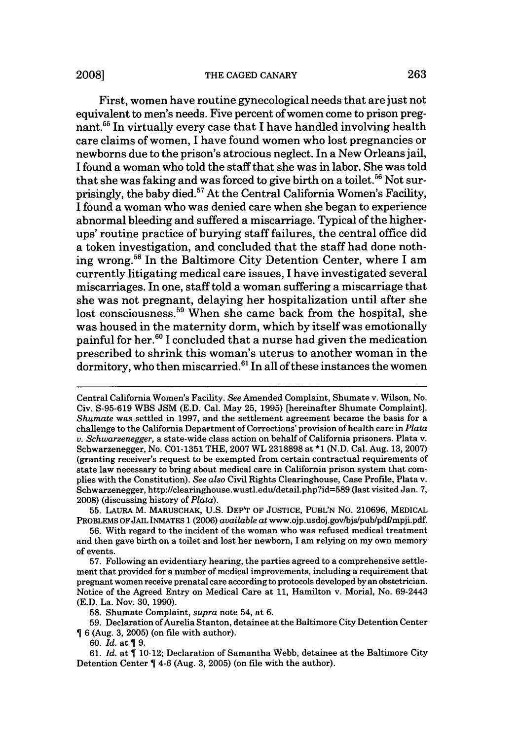#### **20081** THE CAGED CANARY 263

First, women have routine gynecological needs that are just not equivalent to men's needs. Five percent of women come to prison pregnant.55 In virtually every case that I have handled involving health care claims of women, I have found women who lost pregnancies or newborns due to the prison's atrocious neglect. In a New Orleans jail, I found a woman who told the staff that she was in labor. She was told that she was faking and was forced to give birth on a toilet.<sup>56</sup> Not surprisingly, the baby died.<sup>57</sup> At the Central California Women's Facility, I found a woman who was denied care when she began to experience abnormal bleeding and suffered a miscarriage. Typical of the higherups' routine practice of burying staff failures, the central office did a token investigation, and concluded that the staff had done nothing wrong.<sup>58</sup> In the Baltimore City Detention Center, where I am currently litigating medical care issues, I have investigated several miscarriages. In one, staff told a woman suffering a miscarriage that she was not pregnant, delaying her hospitalization until after she lost consciousness.<sup>59</sup> When she came back from the hospital, she was housed in the maternity dorm, which **by** itself was emotionally painful for her. ° I concluded that a nurse had given the medication prescribed to shrink this woman's uterus to another woman in the dormitory, who then miscarried.<sup>61</sup> In all of these instances the women

55. LAURA M. MARUSCHAK, U.S. DEP'T OF JUSTICE, PUBL'N No. 210696, MEDICAL PROBLEMS OFJAIL INMATES 1 (2006) *available* at www.ojp.usdoj.gov/bjs/pub/pdf/mpji.pdf.

56. With regard to the incident of the woman who was refused medical treatment and then gave birth on a toilet and lost her newborn, I am relying on my own memory of events.

57. Following an evidentiary hearing, the parties agreed to a comprehensive settlement that provided for a number of medical improvements, including a requirement that pregnant women receive prenatal care according to protocols developed by an obstetrician. Notice of the Agreed Entry on Medical Care at 11, Hamilton v. Morial, No. 69-2443 (E.D. La. Nov. 30, 1990).

58. Shumate Complaint, *supra* note 54, at 6.

59. Declaration of Aurelia Stanton, detainee at the Baltimore City Detention Center 6 (Aug. 3, 2005) (on file with author).

60. *Id.* at  $\P$  9.

61. *Id.* at  $\P$  10-12; Declaration of Samantha Webb, detainee at the Baltimore City Detention Center  $\P$  4-6 (Aug. 3, 2005) (on file with the author).

Central California Women's Facility. *See* Amended Complaint, Shumate v. Wilson, No. Civ. S-95-619 WBS JSM (E.D. Cal. May 25, 1995) [hereinafter Shumate Complaint]. *Shumate* was settled in 1997, and the settlement agreement became the basis for a challenge to the California Department of Corrections' provision of health care in *Plata v. Schwarzenegger,* a state-wide class action on behalf of California prisoners. Plata v. Schwarzenegger, No. C01-1351 THE, 2007 WL 2318898 at \*1 (N.D. Cal. Aug. 13, 2007) (granting receiver's request to be exempted from certain contractual requirements of state law necessary to bring about medical care in California prison system that complies with the Constitution). *See also* Civil Rights Clearinghouse, Case Profile, Plata v. Schwarzenegger, http://clearinghouse.wustl.edu/detail.php?id=589 (last visited Jan. 7, 2008) (discussing history of *Plata).*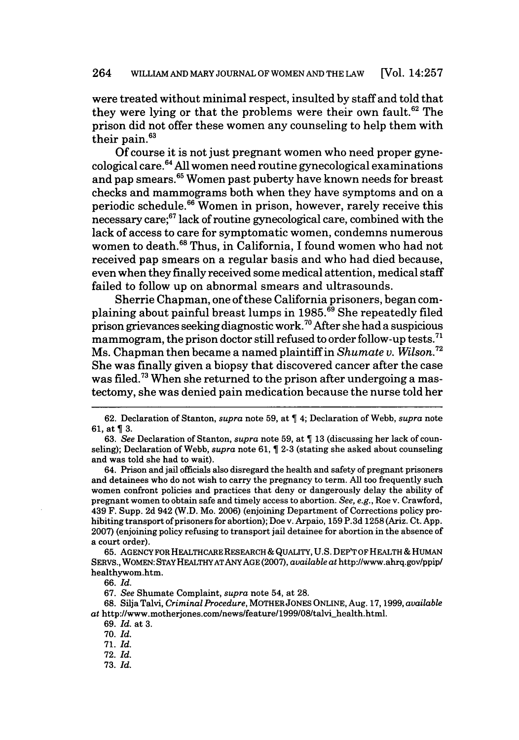### 264 WILLIAM AND MARY JOURNAL OF WOMEN AND THE LAW [Vol. 14:257

were treated without minimal respect, insulted by staff and told that they were lying or that the problems were their own fault.<sup>62</sup> The prison did not offer these women any counseling to help them with their pain. $^6$ 

Of course it is not just pregnant women who need proper gyne- $\frac{1}{2}$ cological care.<sup>64</sup> All women need routine gynecological examinations and pap smears.65 Women past puberty have known needs for breast checks and mammograms both when they have symptoms and on a periodic schedule.66 Women in prison, however, rarely receive this necessary care;67 lack of routine gynecological care, combined with the lack of access to care for symptomatic women, condemns numerous women to death.<sup>68</sup> Thus, in California, I found women who had not received pap smears on a regular basis and who had died because, even when they finally received some medical attention, medical staff failed to follow up on abnormal smears and ultrasounds.

Sherrie Chapman, one of these California prisoners, began complaining about painful breast lumps in 1985.<sup>69</sup> She repeatedly filed prison grievances seeking diagnostic work.<sup>70</sup> After she had a suspicious mammogram, the prison doctor still refused to order follow-up tests.<sup>71</sup> Ms. Chapman then became a named plaintiff in *Shumate v. Wilson.72* She was finally given a biopsy that discovered cancer after the case was filed.<sup>73</sup> When she returned to the prison after undergoing a mastectomy, she was denied pain medication because the nurse told her

64. Prison and jail officials also disregard the health and safety of pregnant prisoners and detainees who do not wish to carry the pregnancy to term. All too frequently such women confront policies and practices that deny or dangerously delay the ability of pregnant women to obtain safe and timely access to abortion. *See, e.g.,* Roe v. Crawford, 439 F. Supp. 2d 942 (W.D. Mo. 2006) (enjoining Department of Corrections policy prohibiting transport of prisoners for abortion); Doe v. Arpaio, 159 P.3d 1258 (Ariz. Ct. App. 2007) (enjoining policy refusing to transport jail detainee for abortion in the absence of a court order).

65. AGENCY FOR HEALTHCARE RESEARCH **&** QUALITY, U.S. DEP'T OF HEALTH **&** HUMAN SERvs., WOMEN: STAY HEALTHYATANYAGE (2007), *available* at http://www.ahrq.gov/ppip/ healthywom.htm.

66. *Id.*

67. *See* Shumate Complaint, *supra* note 54, at 28.

68. Silja Talvi, *Criminal Procedure,* MOTHERJONES ONLINE, Aug. 17, 1999, *available* at http://www.motherjones.com/news/feature/1999/08/talvi-health.html.

69. *Id.* at 3.

70. *Id.*

71. *Id.*

72. *Id.*

73. *Id.*

<sup>62.</sup> Declaration of Stanton, *supra* note 59, at 4; Declaration of Webb, *supra* note 61, at  $\P$  3.

<sup>63.</sup> *See* Declaration of Stanton, *supra* note 59, at  $\P$  13 (discussing her lack of counseling); Declaration of Webb, *supra* note 61, 2-3 (stating she asked about counseling and was told she had to wait).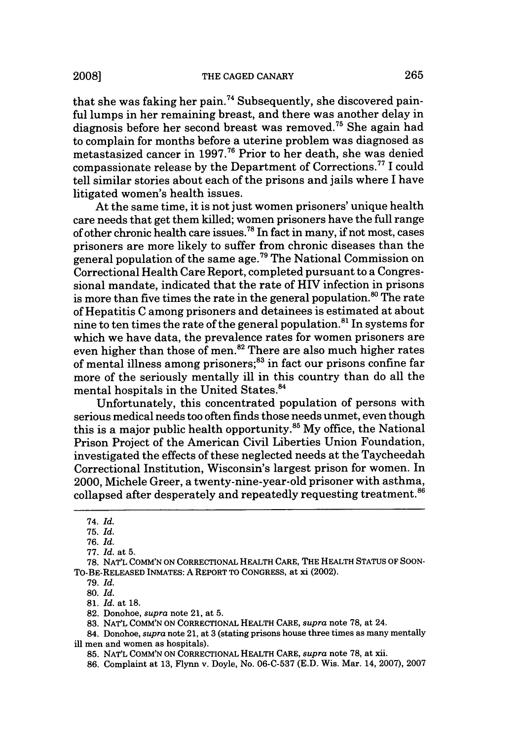that she was faking her pain.<sup>74</sup> Subsequently, she discovered painful lumps in her remaining breast, and there was another delay in diagnosis before her second breast was removed.<sup>75</sup> She again had to complain for months before a uterine problem was diagnosed as metastasized cancer in **1997.76** Prior to her death, she was denied compassionate release by the Department of Corrections.<sup>77</sup> I could tell similar stories about each of the prisons and jails where I have litigated women's health issues.

At the same time, it is not just women prisoners' unique health care needs that get them killed; women prisoners have the full range of other chronic health care issues.78 In fact in many, if not most, cases prisoners are more likely to suffer from chronic diseases than the general population of the same age. 79 The National Commission on Correctional Health Care Report, completed pursuant to a Congressional mandate, indicated that the rate of HIV infection in prisons is more than five times the rate in the general population. $80$  The rate of Hepatitis C among prisoners and detainees is estimated at about nine to ten times the rate of the general population.<sup>81</sup> In systems for which we have data, the prevalence rates for women prisoners are even higher than those of men.<sup>82</sup> There are also much higher rates of mental illness among prisoners;<sup>83</sup> in fact our prisons confine far more of the seriously mentally ill in this country than do all the mental hospitals in the United States. <sup>4</sup>

Unfortunately, this concentrated population of persons with serious medical needs too often finds those needs unmet, even though this is a major public health opportunity.<sup>85</sup> My office, the National Prison Project of the American Civil Liberties Union Foundation, investigated the effects of these neglected needs at the Taycheedah Correctional Institution, Wisconsin's largest prison for women. In 2000, Michele Greer, a twenty-nine-year-old prisoner with asthma, collapsed after desperately and repeatedly requesting treatment.<sup>86</sup>

<sup>74.</sup> *Id.*

<sup>75.</sup> *Id.*

<sup>76.</sup> *Id.*

<sup>77.</sup> *Id.* at 5.

<sup>78.</sup> NAT'L COMM'N ON CORRECTIONAL HEALTH CARE, THE HEALTH STATUS OF SOON-To-BE-RELEASED **INMATES: A** REPORT TO **CONGRESS,** at xi (2002).

**<sup>79.</sup>** *Id.*

<sup>80.</sup> *Id.*

**<sup>81.</sup>** *Id.* at **18.**

<sup>82.</sup> Donohoe, *supra* note 21, at 5.

<sup>83.</sup> NAVL COMM'N ON CORRECTIONAL HEALTH CARE, *supra* note 78, at 24.

<sup>84.</sup> Donohoe, *supra* note 21, at 3 (stating prisons house three times as many mentally ill men and women as hospitals).

<sup>85.</sup> NAT'L COMM'N ON CORRECTIONAL HEALTH CARE, *supra* note 78, at xii.

<sup>86.</sup> Complaint at 13, Flynn v. Doyle, No. 06-C-537 (E.D. Wis. Mar. 14, 2007), 2007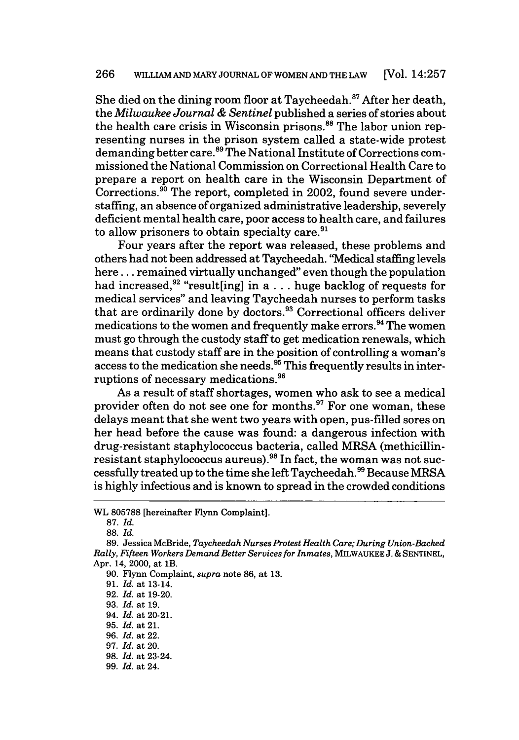She died on the dining room floor at Taycheedah.<sup>87</sup> After her death, the *Milwaukee Journal & Sentinel* published a series of stories about the health care crisis in Wisconsin prisons.<sup>88</sup> The labor union representing nurses in the prison system called a state-wide protest demanding better care.<sup>89</sup> The National Institute of Corrections commissioned the National Commission on Correctional Health Care to prepare a report on health care in the Wisconsin Department of Corrections.<sup>90</sup> The report, completed in 2002, found severe understaffing, an absence of organized administrative leadership, severely deficient mental health care, poor access to health care, and failures to allow prisoners to obtain specialty care. $91$ 

Four years after the report was released, these problems and others had not been addressed at Taycheedah. ' Medical staffing levels here.., remained virtually unchanged" even though the population had increased,<sup>92</sup> "result[ing] in a... huge backlog of requests for medical services" and leaving Taycheedah nurses to perform tasks that are ordinarily done by doctors.<sup>93</sup> Correctional officers deliver medications to the women and frequently make errors.<sup>94</sup> The women must go through the custody staff to get medication renewals, which means that custody staff are in the position of controlling a woman's access to the medication she needs.95 This frequently results in interruptions of necessary medications.96

As a result of staff shortages, women who ask to see a medical provider often do not see one for months.<sup>97</sup> For one woman, these delays meant that she went two years with open, pus-filled sores on her head before the cause was found: a dangerous infection with drug-resistant staphylococcus bacteria, called MRSA (methicillinresistant staphylococcus aureus).<sup>98</sup> In fact, the woman was not successfully treated up to the time she left Taycheedah.<sup>99</sup> Because MRSA is highly infectious and is known to spread in the crowded conditions

WL 805788 [hereinafter Flynn Complaint].

<sup>87.</sup> *Id.*

<sup>88.</sup> *Id.*

<sup>89.</sup> Jessica McBride, *Taycheedah Nurses Protest Health Care; During Union-Backed Rally, Fifteen Workers Demand Better Services for Inmates,* MILWAUKEE J. **&** SENTINEL, Apr. 14, 2000, at lB.

<sup>90.</sup> Flynn Complaint, *supra* note 86, at 13.

<sup>91.</sup> *Id.* at 13-14.

<sup>92.</sup> *Id.* at 19-20.

<sup>93.</sup> *Id.* at 19.

<sup>94.</sup> *Id.* at 20-21.

<sup>95.</sup> *Id.* at 21.

<sup>96.</sup> *Id.* at 22.

<sup>97.</sup> *Id.* at 20.

<sup>98.</sup> *Id.* at 23-24.

<sup>99.</sup> *Id.* at 24.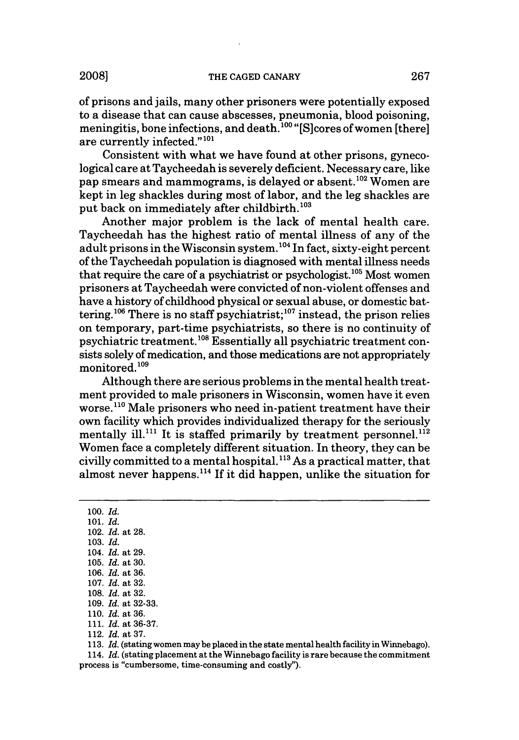of prisons and jails, many other prisoners were potentially exposed to a disease that can cause abscesses, pneumonia, blood poisoning, meningitis, bone infections, and death.<sup>100</sup> "[S]cores of women [there] are currently infected."<sup>101</sup>

Consistent with what we have found at other prisons, gynecological care at Taycheedah is severely deficient. Necessary care, like pap smears and mammograms, is delayed or absent.<sup>102</sup> Women are kept in leg shackles during most of labor, and the leg shackles are put back on immediately after childbirth.<sup>103</sup>

Another major problem is the lack of mental health care. Taycheedah has the highest ratio of mental illness of any of the adult prisons in the Wisconsin system.<sup>104</sup> In fact, sixty-eight percent of the Taycheedah population is diagnosed with mental illness needs that require the care of a psychiatrist or psychologist.<sup>105</sup> Most women prisoners at Taycheedah were convicted of non-violent offenses and have a history of childhood physical or sexual abuse, or domestic battering.<sup>106</sup> There is no staff psychiatrist;<sup>107</sup> instead, the prison relies on temporary, part-time psychiatrists, so there is no continuity of psychiatric treatment. 1 08 Essentially all psychiatric treatment consists solely of medication, and those medications are not appropriately monitored.109

Although there are serious problems in the mental health treatment provided to male prisoners in Wisconsin, women have it even worse.<sup>110</sup> Male prisoners who need in-patient treatment have their own facility which provides individualized therapy for the seriously mentally ill.<sup>111</sup> It is staffed primarily by treatment personnel.<sup>112</sup> Women face a completely different situation. In theory, they can be civilly committed to a mental hospital. **"'** As a practical matter, that almost never happens.<sup>114</sup> If it did happen, unlike the situation for

100. *Id.* 101. *Id.* 102. *Id.* at 28. 103. *Id.* 104. *Id.* at 29. 105. *Id.* at 30. 106. *Id.* at 36. 107. *Id.* at 32. 108. *Id.* at 32. 109. *Id.* at 32-33. 110. *Id.* at 36. 111. *Id.* at 36-37. 112. *Id.* at 37.

113. *Id.* (stating women may be placed in the state mental health facility in Winnebago).

114. *Id.* (stating placement at the Winnebago facility is rare because the commitment process is "cumbersome, time-consuming and costly").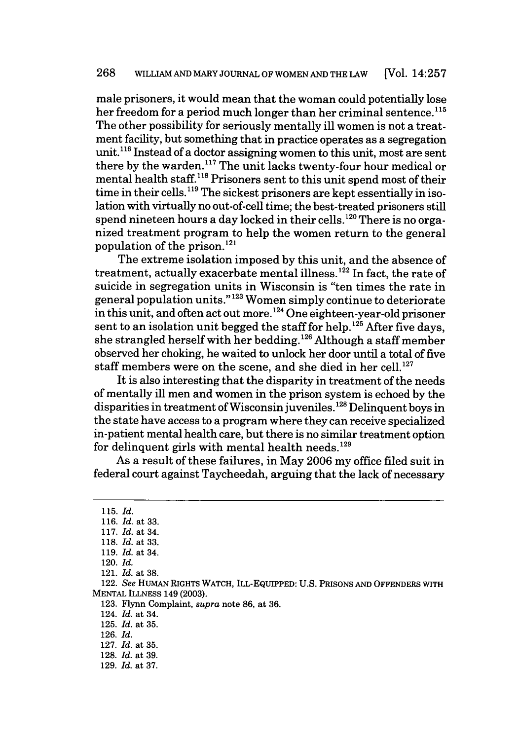male prisoners, it would mean that the woman could potentially lose her freedom for a period much longer than her criminal sentence.<sup>115</sup> The other possibility for seriously mentally ill women is not a treatment facility, but something that in practice operates as a segregation unit.<sup>116</sup> Instead of a doctor assigning women to this unit, most are sent there by the warden.<sup>117</sup> The unit lacks twenty-four hour medical or mental health staff.1'8 Prisoners sent to this unit spend most of their time in their cells. **119** The sickest prisoners are kept essentially in isolation with virtually no out-of-cell time; the best-treated prisoners still spend nineteen hours a day locked in their cells.<sup>120</sup> There is no organized treatment program to help the women return to the general population of the prison.121

The extreme isolation imposed by this unit, and the absence of treatment, actually exacerbate mental illness.<sup>122</sup> In fact, the rate of suicide in segregation units in Wisconsin is "ten times the rate in general population units." **' <sup>23</sup>**Women simply continue to deteriorate in this unit, and often act out more. 1 24 One eighteen-year-old prisoner sent to an isolation unit begged the staff for help.<sup>125</sup> After five days, she strangled herself with her bedding. 26 Although a staff member observed her choking, he waited to unlock her door until a total of five staff members were on the scene, and she died in her cell. $^{127}$ 

It is also interesting that the disparity in treatment of the needs of mentally ill men and women in the prison system is echoed by the disparities in treatment of Wisconsin juveniles.<sup>128</sup> Delinquent boys in the state have access to a program where they can receive specialized in-patient mental health care, but there is no similar treatment option for delinquent girls with mental health needs. $129$ 

As a result of these failures, in May 2006 my office filed suit in federal court against Taycheedah, arguing that the lack of necessary

**123.** Flynn Complaint, *supra* note 86, at 36.

**<sup>115.</sup>** *Id.*

**<sup>116.</sup>** *Id.* at **33.**

**<sup>117.</sup>** *Id.* at 34.

**<sup>118.</sup>** *Id.* at **33.**

**<sup>119.</sup>** *Id.* at 34.

<sup>120.</sup> *Id.*

<sup>121.</sup> *Id.* at **38.**

<sup>122.</sup> *See* HUMAN RIGHTS WATCH, ILL-EQUIPPED: **U.S.** PRISONS **AND OFFENDERS** WITH **MENTAL ILLNESS** 149 **(2003).**

<sup>124.</sup> *Id.* at 34.

<sup>125.</sup> *Id.* at 35.

**<sup>126.</sup>** *Id.*

**<sup>127.</sup>** *Id.* at 35. **128.** *Id.* at 39.

**<sup>129.</sup>** *Id.* at 37.